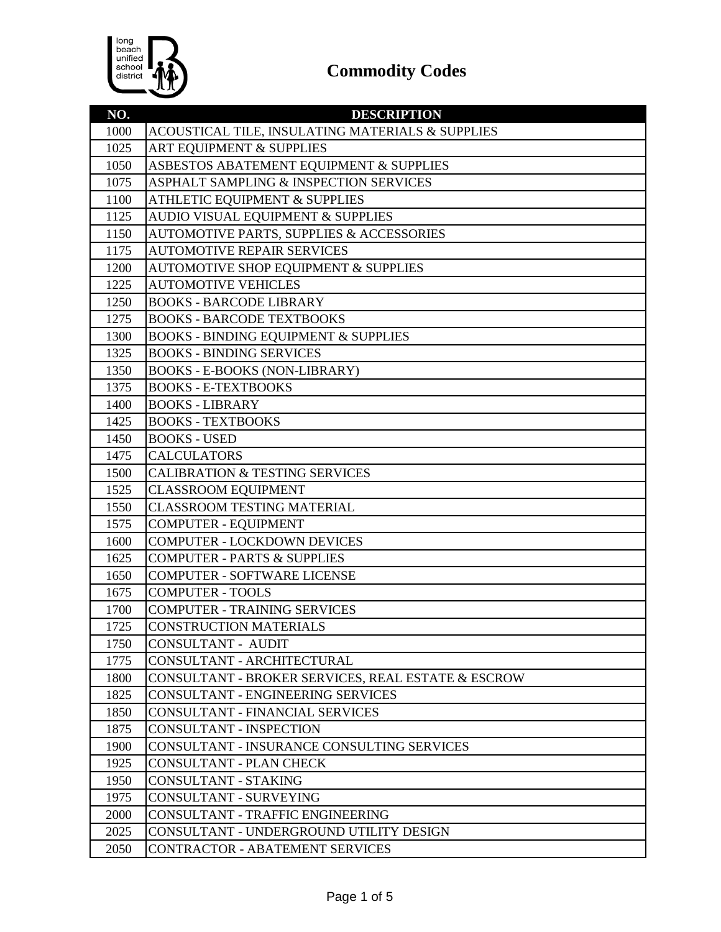

| NO.          | <b>DESCRIPTION</b>                                                          |
|--------------|-----------------------------------------------------------------------------|
| 1000         | ACOUSTICAL TILE, INSULATING MATERIALS & SUPPLIES                            |
| 1025         | <b>ART EQUIPMENT &amp; SUPPLIES</b>                                         |
| 1050         | ASBESTOS ABATEMENT EQUIPMENT & SUPPLIES                                     |
| 1075         | ASPHALT SAMPLING & INSPECTION SERVICES                                      |
| 1100         | <b>ATHLETIC EQUIPMENT &amp; SUPPLIES</b>                                    |
| 1125         | AUDIO VISUAL EQUIPMENT & SUPPLIES                                           |
| 1150         | AUTOMOTIVE PARTS, SUPPLIES & ACCESSORIES                                    |
| 1175         | <b>AUTOMOTIVE REPAIR SERVICES</b>                                           |
| 1200         | AUTOMOTIVE SHOP EQUIPMENT & SUPPLIES                                        |
| 1225         | <b>AUTOMOTIVE VEHICLES</b>                                                  |
| 1250         | <b>BOOKS - BARCODE LIBRARY</b>                                              |
| 1275         | <b>BOOKS - BARCODE TEXTBOOKS</b>                                            |
| 1300         | <b>BOOKS - BINDING EQUIPMENT &amp; SUPPLIES</b>                             |
| 1325         | <b>BOOKS - BINDING SERVICES</b>                                             |
| 1350         | <b>BOOKS - E-BOOKS (NON-LIBRARY)</b>                                        |
| 1375         | <b>BOOKS - E-TEXTBOOKS</b>                                                  |
| 1400         | <b>BOOKS - LIBRARY</b>                                                      |
| 1425         | <b>BOOKS - TEXTBOOKS</b>                                                    |
| 1450         | <b>BOOKS - USED</b>                                                         |
| 1475         | <b>CALCULATORS</b>                                                          |
| 1500         | <b>CALIBRATION &amp; TESTING SERVICES</b>                                   |
| 1525         | <b>CLASSROOM EQUIPMENT</b>                                                  |
| 1550         | <b>CLASSROOM TESTING MATERIAL</b>                                           |
| 1575         | <b>COMPUTER - EQUIPMENT</b>                                                 |
| 1600         | <b>COMPUTER - LOCKDOWN DEVICES</b>                                          |
| 1625         | <b>COMPUTER - PARTS &amp; SUPPLIES</b>                                      |
| 1650         | <b>COMPUTER - SOFTWARE LICENSE</b>                                          |
| 1675         | <b>COMPUTER - TOOLS</b>                                                     |
| 1700         | <b>COMPUTER - TRAINING SERVICES</b>                                         |
| 1725         | <b>CONSTRUCTION MATERIALS</b>                                               |
| 1750         | CONSULTANT - AUDIT                                                          |
| 1775         | CONSULTANT - ARCHITECTURAL                                                  |
| 1800         | CONSULTANT - BROKER SERVICES, REAL ESTATE & ESCROW                          |
| 1825         | CONSULTANT - ENGINEERING SERVICES                                           |
| 1850         | <b>CONSULTANT - FINANCIAL SERVICES</b>                                      |
| 1875         | CONSULTANT - INSPECTION                                                     |
| 1900         | <b>CONSULTANT - INSURANCE CONSULTING SERVICES</b>                           |
| 1925         | <b>CONSULTANT - PLAN CHECK</b>                                              |
| 1950<br>1975 | CONSULTANT - STAKING<br>CONSULTANT - SURVEYING                              |
|              |                                                                             |
| 2000<br>2025 | CONSULTANT - TRAFFIC ENGINEERING<br>CONSULTANT - UNDERGROUND UTILITY DESIGN |
|              |                                                                             |
| 2050         | <b>CONTRACTOR - ABATEMENT SERVICES</b>                                      |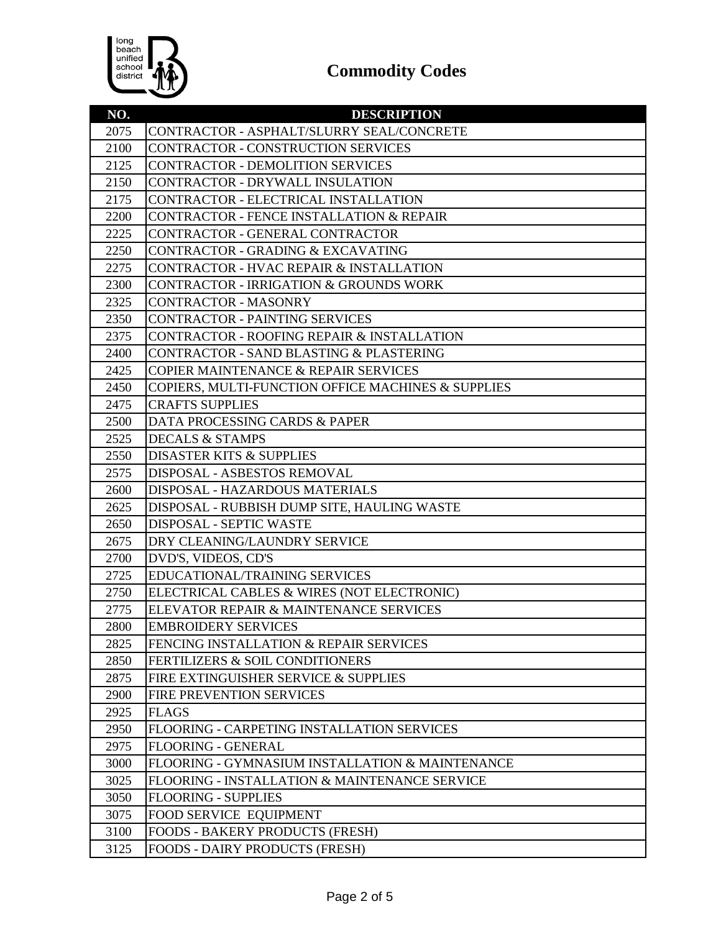

| NO.  | <b>DESCRIPTION</b>                                       |
|------|----------------------------------------------------------|
| 2075 | CONTRACTOR - ASPHALT/SLURRY SEAL/CONCRETE                |
| 2100 | CONTRACTOR - CONSTRUCTION SERVICES                       |
| 2125 | <b>CONTRACTOR - DEMOLITION SERVICES</b>                  |
| 2150 | CONTRACTOR - DRYWALL INSULATION                          |
| 2175 | CONTRACTOR - ELECTRICAL INSTALLATION                     |
| 2200 | <b>CONTRACTOR - FENCE INSTALLATION &amp; REPAIR</b>      |
| 2225 | CONTRACTOR - GENERAL CONTRACTOR                          |
| 2250 | CONTRACTOR - GRADING & EXCAVATING                        |
| 2275 | <b>CONTRACTOR - HVAC REPAIR &amp; INSTALLATION</b>       |
| 2300 | <b>CONTRACTOR - IRRIGATION &amp; GROUNDS WORK</b>        |
| 2325 | <b>CONTRACTOR - MASONRY</b>                              |
| 2350 | <b>CONTRACTOR - PAINTING SERVICES</b>                    |
| 2375 | <b>CONTRACTOR - ROOFING REPAIR &amp; INSTALLATION</b>    |
| 2400 | CONTRACTOR - SAND BLASTING & PLASTERING                  |
| 2425 | <b>COPIER MAINTENANCE &amp; REPAIR SERVICES</b>          |
| 2450 | COPIERS, MULTI-FUNCTION OFFICE MACHINES & SUPPLIES       |
| 2475 | <b>CRAFTS SUPPLIES</b>                                   |
| 2500 | DATA PROCESSING CARDS & PAPER                            |
| 2525 | <b>DECALS &amp; STAMPS</b>                               |
| 2550 | <b>DISASTER KITS &amp; SUPPLIES</b>                      |
| 2575 | DISPOSAL - ASBESTOS REMOVAL                              |
| 2600 | DISPOSAL - HAZARDOUS MATERIALS                           |
| 2625 | DISPOSAL - RUBBISH DUMP SITE, HAULING WASTE              |
| 2650 | DISPOSAL - SEPTIC WASTE                                  |
| 2675 | DRY CLEANING/LAUNDRY SERVICE                             |
| 2700 | DVD'S, VIDEOS, CD'S                                      |
| 2725 | EDUCATIONAL/TRAINING SERVICES                            |
| 2750 | ELECTRICAL CABLES & WIRES (NOT ELECTRONIC)               |
| 2775 | ELEVATOR REPAIR & MAINTENANCE SERVICES                   |
| 2800 | <b>EMBROIDERY SERVICES</b>                               |
| 2825 | FENCING INSTALLATION & REPAIR SERVICES                   |
| 2850 | <b>FERTILIZERS &amp; SOIL CONDITIONERS</b>               |
| 2875 | FIRE EXTINGUISHER SERVICE & SUPPLIES                     |
| 2900 | <b>FIRE PREVENTION SERVICES</b>                          |
| 2925 | <b>FLAGS</b>                                             |
| 2950 | FLOORING - CARPETING INSTALLATION SERVICES               |
| 2975 | <b>FLOORING - GENERAL</b>                                |
| 3000 | FLOORING - GYMNASIUM INSTALLATION & MAINTENANCE          |
| 3025 | <b>FLOORING - INSTALLATION &amp; MAINTENANCE SERVICE</b> |
| 3050 | <b>FLOORING - SUPPLIES</b>                               |
| 3075 | FOOD SERVICE EQUIPMENT                                   |
| 3100 | <b>FOODS - BAKERY PRODUCTS (FRESH)</b>                   |
| 3125 | FOODS - DAIRY PRODUCTS (FRESH)                           |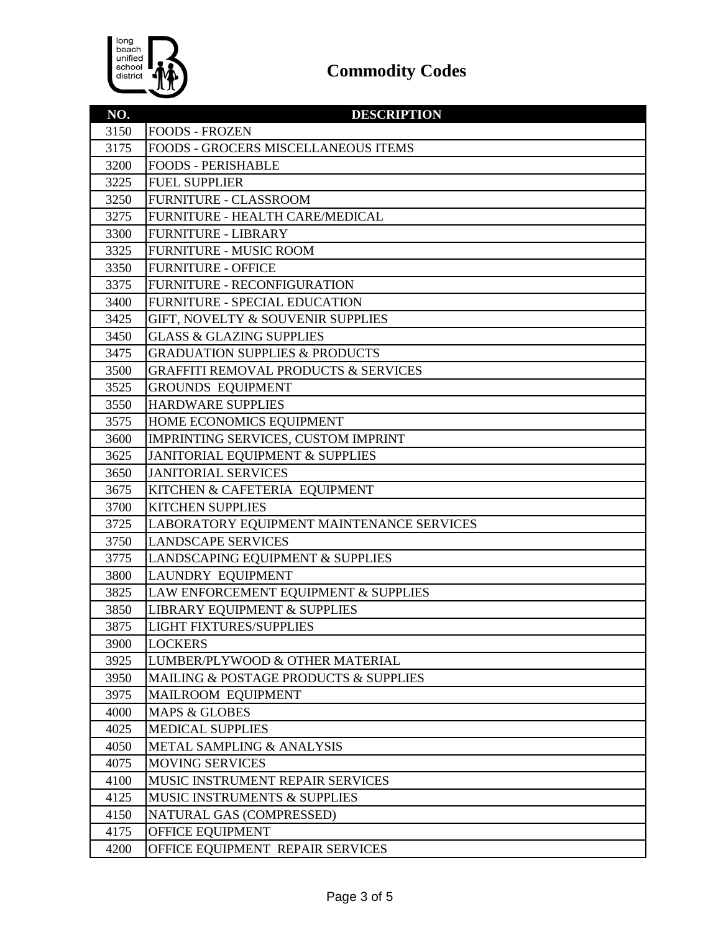

| NO.  | <b>DESCRIPTION</b>                              |
|------|-------------------------------------------------|
| 3150 | <b>FOODS - FROZEN</b>                           |
| 3175 | FOODS - GROCERS MISCELLANEOUS ITEMS             |
| 3200 | <b>FOODS - PERISHABLE</b>                       |
| 3225 | <b>FUEL SUPPLIER</b>                            |
| 3250 | <b>FURNITURE - CLASSROOM</b>                    |
| 3275 | FURNITURE - HEALTH CARE/MEDICAL                 |
| 3300 | <b>FURNITURE - LIBRARY</b>                      |
| 3325 | <b>FURNITURE - MUSIC ROOM</b>                   |
| 3350 | <b>FURNITURE - OFFICE</b>                       |
| 3375 | FURNITURE - RECONFIGURATION                     |
| 3400 | FURNITURE - SPECIAL EDUCATION                   |
| 3425 | GIFT, NOVELTY & SOUVENIR SUPPLIES               |
| 3450 | <b>GLASS &amp; GLAZING SUPPLIES</b>             |
| 3475 | <b>GRADUATION SUPPLIES &amp; PRODUCTS</b>       |
| 3500 | <b>GRAFFITI REMOVAL PRODUCTS &amp; SERVICES</b> |
| 3525 | <b>GROUNDS EQUIPMENT</b>                        |
| 3550 | <b>HARDWARE SUPPLIES</b>                        |
| 3575 | HOME ECONOMICS EQUIPMENT                        |
| 3600 | IMPRINTING SERVICES, CUSTOM IMPRINT             |
| 3625 | JANITORIAL EQUIPMENT & SUPPLIES                 |
| 3650 | <b>JANITORIAL SERVICES</b>                      |
| 3675 | KITCHEN & CAFETERIA EQUIPMENT                   |
| 3700 | <b>KITCHEN SUPPLIES</b>                         |
| 3725 | LABORATORY EQUIPMENT MAINTENANCE SERVICES       |
| 3750 | <b>LANDSCAPE SERVICES</b>                       |
| 3775 | LANDSCAPING EQUIPMENT & SUPPLIES                |
| 3800 | <b>LAUNDRY EQUIPMENT</b>                        |
| 3825 | LAW ENFORCEMENT EQUIPMENT & SUPPLIES            |
| 3850 | LIBRARY EQUIPMENT & SUPPLIES                    |
| 3875 | <b>LIGHT FIXTURES/SUPPLIES</b>                  |
| 3900 | <b>LOCKERS</b>                                  |
| 3925 | LUMBER/PLYWOOD & OTHER MATERIAL                 |
| 3950 | MAILING & POSTAGE PRODUCTS & SUPPLIES           |
| 3975 | MAILROOM EQUIPMENT                              |
| 4000 | <b>MAPS &amp; GLOBES</b>                        |
| 4025 | <b>MEDICAL SUPPLIES</b>                         |
| 4050 | <b>METAL SAMPLING &amp; ANALYSIS</b>            |
| 4075 | <b>MOVING SERVICES</b>                          |
| 4100 | MUSIC INSTRUMENT REPAIR SERVICES                |
| 4125 | <b>MUSIC INSTRUMENTS &amp; SUPPLIES</b>         |
| 4150 | NATURAL GAS (COMPRESSED)                        |
| 4175 | OFFICE EQUIPMENT                                |
| 4200 | OFFICE EQUIPMENT REPAIR SERVICES                |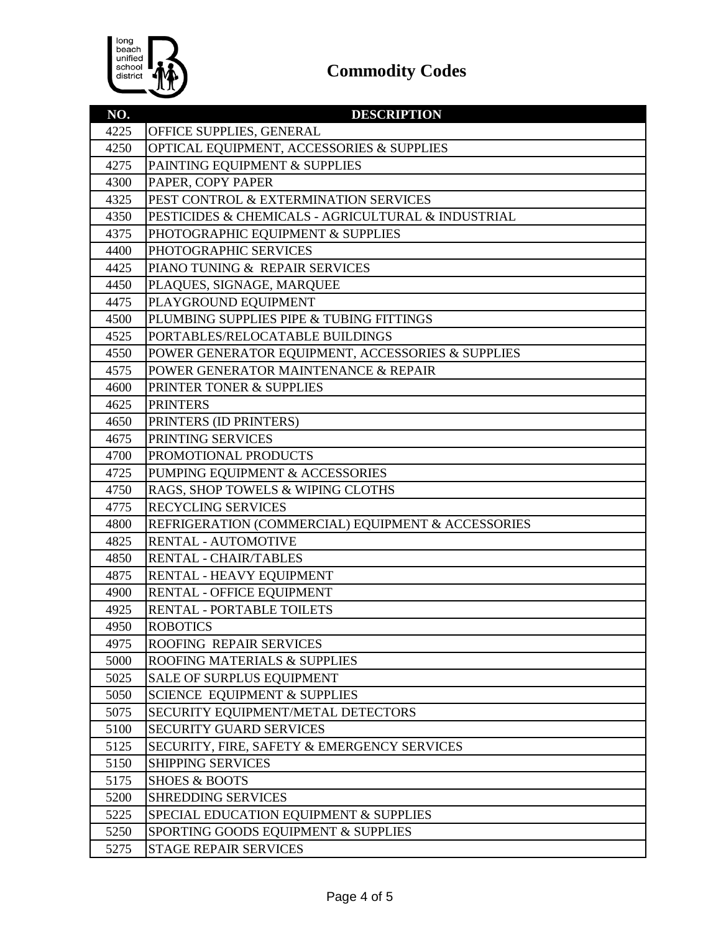

| NO.          | <b>DESCRIPTION</b>                                                      |
|--------------|-------------------------------------------------------------------------|
| 4225         | OFFICE SUPPLIES, GENERAL                                                |
| 4250         | OPTICAL EQUIPMENT, ACCESSORIES & SUPPLIES                               |
| 4275         | PAINTING EQUIPMENT & SUPPLIES                                           |
| 4300         | PAPER, COPY PAPER                                                       |
| 4325         | PEST CONTROL & EXTERMINATION SERVICES                                   |
| 4350         | PESTICIDES & CHEMICALS - AGRICULTURAL & INDUSTRIAL                      |
| 4375         | PHOTOGRAPHIC EQUIPMENT & SUPPLIES                                       |
| 4400         | PHOTOGRAPHIC SERVICES                                                   |
| 4425         | PIANO TUNING & REPAIR SERVICES                                          |
| 4450         | PLAQUES, SIGNAGE, MARQUEE                                               |
| 4475         | PLAYGROUND EQUIPMENT                                                    |
| 4500         | PLUMBING SUPPLIES PIPE & TUBING FITTINGS                                |
| 4525         | PORTABLES/RELOCATABLE BUILDINGS                                         |
| 4550         | POWER GENERATOR EQUIPMENT, ACCESSORIES & SUPPLIES                       |
| 4575         | POWER GENERATOR MAINTENANCE & REPAIR                                    |
| 4600         | PRINTER TONER & SUPPLIES                                                |
| 4625         | <b>PRINTERS</b>                                                         |
| 4650         | PRINTERS (ID PRINTERS)                                                  |
| 4675         | PRINTING SERVICES                                                       |
| 4700         | PROMOTIONAL PRODUCTS                                                    |
| 4725         | PUMPING EQUIPMENT & ACCESSORIES                                         |
| 4750         | RAGS, SHOP TOWELS & WIPING CLOTHS                                       |
| 4775         | <b>RECYCLING SERVICES</b>                                               |
| 4800         | REFRIGERATION (COMMERCIAL) EQUIPMENT & ACCESSORIES                      |
| 4825         | <b>RENTAL - AUTOMOTIVE</b>                                              |
| 4850         | RENTAL - CHAIR/TABLES                                                   |
| 4875         | RENTAL - HEAVY EQUIPMENT                                                |
| 4900         | RENTAL - OFFICE EQUIPMENT                                               |
| 4925         | RENTAL - PORTABLE TOILETS                                               |
| 4950         | <b>ROBOTICS</b>                                                         |
| 4975         | ROOFING REPAIR SERVICES                                                 |
| 5000         | ROOFING MATERIALS & SUPPLIES                                            |
| 5025         | <b>SALE OF SURPLUS EQUIPMENT</b>                                        |
| 5050         | <b>SCIENCE EQUIPMENT &amp; SUPPLIES</b>                                 |
| 5075         | SECURITY EQUIPMENT/METAL DETECTORS                                      |
| 5100         | <b>SECURITY GUARD SERVICES</b>                                          |
| 5125<br>5150 | SECURITY, FIRE, SAFETY & EMERGENCY SERVICES<br><b>SHIPPING SERVICES</b> |
|              | <b>SHOES &amp; BOOTS</b>                                                |
| 5175         | <b>SHREDDING SERVICES</b>                                               |
| 5200<br>5225 |                                                                         |
|              | SPECIAL EDUCATION EQUIPMENT & SUPPLIES                                  |
| 5250         | SPORTING GOODS EQUIPMENT & SUPPLIES<br><b>STAGE REPAIR SERVICES</b>     |
| 5275         |                                                                         |